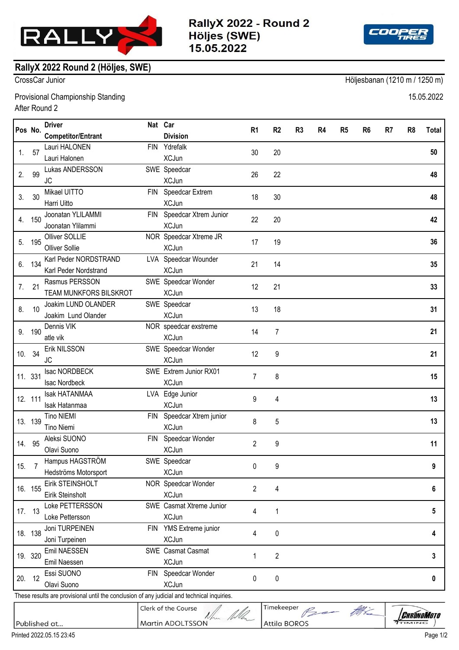

RallyX 2022 - Round 2 Höljes (SWE) 15.05.2022



## **RallyX 2022 Round 2 (Höljes, SWE)**

CrossCar Junior Höljesbanan (1210 m / 1250 m)

Provisional Championship Standing 15.05.2022 After Round 2

|        | Pos No.            | <b>Driver</b>                                                                               | Nat Car    |                                | R <sub>1</sub> | R <sub>2</sub>      | R <sub>3</sub>     | R4 | R <sub>5</sub> | R <sub>6</sub> | R7 | R <sub>8</sub>    | Total |
|--------|--------------------|---------------------------------------------------------------------------------------------|------------|--------------------------------|----------------|---------------------|--------------------|----|----------------|----------------|----|-------------------|-------|
|        |                    | <b>Competitor/Entrant</b>                                                                   |            | <b>Division</b>                |                |                     |                    |    |                |                |    |                   |       |
| 1.     | 57                 | Lauri HALONEN                                                                               | FIN        | Ydrefalk                       | 30             | 20                  |                    |    |                |                |    |                   | 50    |
|        |                    | Lauri Halonen                                                                               |            | <b>XCJun</b>                   |                |                     |                    |    |                |                |    |                   |       |
| 2.     | 99                 | Lukas ANDERSSON                                                                             |            | SWE Speedcar                   | 26             | 22                  |                    |    |                |                |    |                   | 48    |
|        |                    | <b>JC</b>                                                                                   |            | <b>XCJun</b>                   |                |                     |                    |    |                |                |    |                   |       |
| 3.     | 30                 | Mikael UITTO                                                                                |            | FIN Speedcar Extrem            | 18             | 30                  |                    |    |                |                |    |                   | 48    |
|        |                    | Harri Uitto                                                                                 |            | <b>XCJun</b>                   |                |                     |                    |    |                |                |    |                   |       |
| 4.     | 150                | Joonatan YLILAMMI                                                                           |            | FIN Speedcar Xtrem Junior      | 22             | 20                  |                    |    |                |                |    |                   | 42    |
|        |                    | Joonatan Ylilammi                                                                           |            | <b>XCJun</b>                   |                |                     |                    |    |                |                |    |                   |       |
| 5.     | 195                | Olliver SOLLIE                                                                              |            | NOR Speedcar Xtreme JR         | 17             | 19                  |                    |    |                |                |    |                   | 36    |
|        |                    | <b>Olliver Sollie</b>                                                                       |            | <b>XCJun</b>                   |                |                     |                    |    |                |                |    |                   |       |
| 6.     | 134                | Karl Peder NORDSTRAND                                                                       |            | LVA Speedcar Wounder           | 21             | 14                  |                    |    |                |                |    |                   | 35    |
|        |                    | Karl Peder Nordstrand                                                                       |            | <b>XCJun</b>                   |                |                     |                    |    |                |                |    |                   |       |
| 7.     | 21                 | Rasmus PERSSON                                                                              |            | SWE Speedcar Wonder            | 12             | 21                  |                    |    |                |                |    |                   | 33    |
|        |                    | TEAM MUNKFORS BILSKROT                                                                      |            | <b>XCJun</b>                   |                |                     |                    |    |                |                |    |                   |       |
| 8.     | 10                 | Joakim LUND OLANDER                                                                         |            | SWE Speedcar                   | 13             | 18                  |                    |    |                |                |    |                   | 31    |
|        |                    | Joakim Lund Olander                                                                         |            | <b>XCJun</b>                   |                |                     |                    |    |                |                |    |                   |       |
| 9.     | 190                | Dennis VIK                                                                                  |            | NOR speedcar exstreme          | 14             | $\overline{7}$      |                    |    |                |                |    |                   | 21    |
|        |                    | atle vik                                                                                    |            | <b>XCJun</b>                   |                |                     |                    |    |                |                |    |                   |       |
| 10.    | 34                 | Erik NILSSON                                                                                |            | SWE Speedcar Wonder            | 12             | 9                   |                    |    |                |                |    |                   | 21    |
|        |                    | <b>JC</b>                                                                                   |            | <b>XCJun</b>                   |                |                     |                    |    |                |                |    |                   |       |
|        | 11. 331<br>12. 111 | Isac NORDBECK                                                                               |            | SWE Extrem Junior RX01         | 7              | 8                   |                    |    |                |                |    |                   | 15    |
|        |                    | <b>Isac Nordbeck</b>                                                                        |            | <b>XCJun</b>                   |                |                     |                    |    |                |                |    |                   |       |
|        |                    | <b>Isak HATANMAA</b>                                                                        |            | LVA Edge Junior                | 9              | 4                   |                    |    |                |                |    |                   | 13    |
|        |                    | Isak Hatanmaa                                                                               |            | <b>XCJun</b>                   |                |                     |                    |    |                |                |    |                   |       |
|        | 13. 139            | <b>Tino NIEMI</b>                                                                           | <b>FIN</b> | Speedcar Xtrem junior          | 8              | 5                   |                    |    |                |                |    |                   | 13    |
|        |                    | <b>Tino Niemi</b>                                                                           |            | <b>XCJun</b>                   |                |                     |                    |    |                |                |    |                   |       |
|        | 14. 95             | Aleksi SUONO                                                                                | <b>FIN</b> | Speedcar Wonder                | 2              | 9                   |                    |    |                |                |    | 11                |       |
|        |                    | Olavi Suono                                                                                 |            | <b>XCJun</b>                   |                |                     |                    |    |                |                |    |                   |       |
| 15.    |                    | Hampus HAGSTRÖM                                                                             |            | SWE Speedcar                   | 0              | 9                   |                    |    |                |                |    |                   | 9     |
|        |                    | Hedströms Motorsport                                                                        |            | <b>XCJun</b>                   |                |                     |                    |    |                |                |    |                   |       |
|        | 16. 155            | Eirik STEINSHOLT                                                                            |            | NOR Speedcar Wonder            | 2              | 4                   |                    |    |                |                |    |                   | 6     |
|        |                    | Eirik Steinsholt                                                                            |            | <b>XCJun</b>                   |                |                     |                    |    |                |                |    |                   |       |
|        | 17. 13<br>18. 138  | Loke PETTERSSON                                                                             |            | SWE Casmat Xtreme Junior       | 4              | 1                   |                    |    |                |                |    |                   | 5     |
|        |                    | Loke Pettersson                                                                             |            | <b>XCJun</b>                   |                |                     |                    |    |                |                |    |                   |       |
|        |                    | Joni TURPEINEN                                                                              |            | FIN YMS Extreme junior         | 4              | 0                   |                    |    |                |                |    |                   | 4     |
|        |                    | Joni Turpeinen                                                                              |            | <b>XCJun</b>                   |                |                     |                    |    |                |                |    |                   |       |
|        | 19. 320            | Emil NAESSEN                                                                                |            | SWE Casmat Casmat              | 1              | $\overline{2}$      |                    |    |                |                |    | 3                 |       |
|        |                    | Emil Naessen                                                                                |            | <b>XCJun</b>                   |                |                     |                    |    |                |                |    |                   |       |
| 20. 12 |                    | Essi SUONO                                                                                  |            | FIN Speedcar Wonder            | 0              | 0                   |                    |    |                |                |    |                   | 0     |
|        |                    | Olavi Suono                                                                                 |            | <b>XCJun</b>                   |                |                     |                    |    |                |                |    |                   |       |
|        |                    | These results are provisional until the conclusion of any judicial and technical inquiries. |            |                                |                |                     |                    |    |                |                |    |                   |       |
|        |                    |                                                                                             |            | Clerk of the Course<br>the Why |                |                     | Timekeeper Per Mic |    |                |                |    | <b>CHRONOMOTO</b> |       |
|        |                    | Published at                                                                                |            | Martin ADOLTSSON               |                | <b>Attila BOROS</b> |                    |    |                |                |    |                   |       |